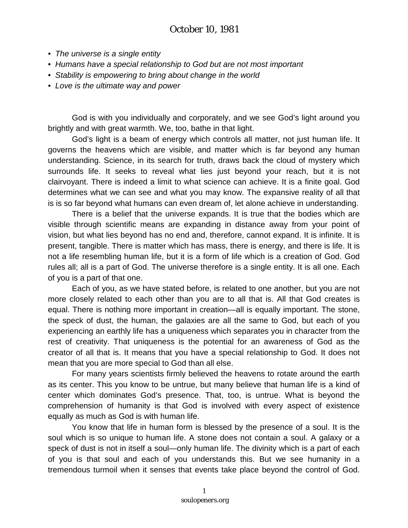## October 10, 1981

- *The universe is a single entity*
- *Humans have a special relationship to God but are not most important*
- *Stability is empowering to bring about change in the world*
- *Love is the ultimate way and power*

God is with you individually and corporately, and we see God's light around you brightly and with great warmth. We, too, bathe in that light.

God's light is a beam of energy which controls all matter, not just human life. It governs the heavens which are visible, and matter which is far beyond any human understanding. Science, in its search for truth, draws back the cloud of mystery which surrounds life. It seeks to reveal what lies just beyond your reach, but it is not clairvoyant. There is indeed a limit to what science can achieve. It is a finite goal. God determines what we can see and what you may know. The expansive reality of all that is is so far beyond what humans can even dream of, let alone achieve in understanding.

There is a belief that the universe expands. It is true that the bodies which are visible through scientific means are expanding in distance away from your point of vision, but what lies beyond has no end and, therefore, cannot expand. It is infinite. It is present, tangible. There is matter which has mass, there is energy, and there is life. It is not a life resembling human life, but it is a form of life which is a creation of God. God rules all; all is a part of God. The universe therefore is a single entity. It is all one. Each of you is a part of that one.

Each of you, as we have stated before, is related to one another, but you are not more closely related to each other than you are to all that is. All that God creates is equal. There is nothing more important in creation—all is equally important. The stone, the speck of dust, the human, the galaxies are all the same to God, but each of you experiencing an earthly life has a uniqueness which separates you in character from the rest of creativity. That uniqueness is the potential for an awareness of God as the creator of all that is. It means that you have a special relationship to God. It does not mean that you are more special to God than all else.

For many years scientists firmly believed the heavens to rotate around the earth as its center. This you know to be untrue, but many believe that human life is a kind of center which dominates God's presence. That, too, is untrue. What is beyond the comprehension of humanity is that God is involved with every aspect of existence equally as much as God is with human life.

You know that life in human form is blessed by the presence of a soul. It is the soul which is so unique to human life. A stone does not contain a soul. A galaxy or a speck of dust is not in itself a soul—only human life. The divinity which is a part of each of you is that soul and each of you understands this. But we see humanity in a tremendous turmoil when it senses that events take place beyond the control of God.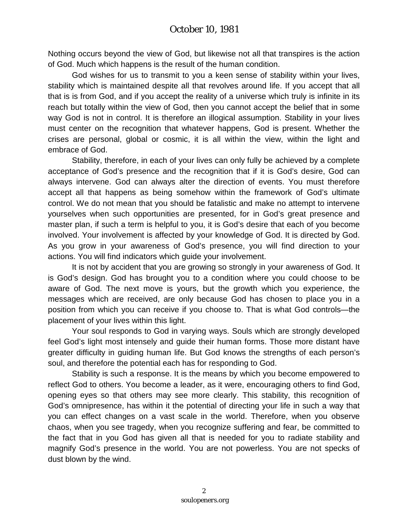Nothing occurs beyond the view of God, but likewise not all that transpires is the action of God. Much which happens is the result of the human condition.

God wishes for us to transmit to you a keen sense of stability within your lives, stability which is maintained despite all that revolves around life. If you accept that all that is is from God, and if you accept the reality of a universe which truly is infinite in its reach but totally within the view of God, then you cannot accept the belief that in some way God is not in control. It is therefore an illogical assumption. Stability in your lives must center on the recognition that whatever happens, God is present. Whether the crises are personal, global or cosmic, it is all within the view, within the light and embrace of God.

Stability, therefore, in each of your lives can only fully be achieved by a complete acceptance of God's presence and the recognition that if it is God's desire, God can always intervene. God can always alter the direction of events. You must therefore accept all that happens as being somehow within the framework of God's ultimate control. We do not mean that you should be fatalistic and make no attempt to intervene yourselves when such opportunities are presented, for in God's great presence and master plan, if such a term is helpful to you, it is God's desire that each of you become involved. Your involvement is affected by your knowledge of God. It is directed by God. As you grow in your awareness of God's presence, you will find direction to your actions. You will find indicators which guide your involvement.

It is not by accident that you are growing so strongly in your awareness of God. It is God's design. God has brought you to a condition where you could choose to be aware of God. The next move is yours, but the growth which you experience, the messages which are received, are only because God has chosen to place you in a position from which you can receive if you choose to. That is what God controls—the placement of your lives within this light.

Your soul responds to God in varying ways. Souls which are strongly developed feel God's light most intensely and guide their human forms. Those more distant have greater difficulty in guiding human life. But God knows the strengths of each person's soul, and therefore the potential each has for responding to God.

Stability is such a response. It is the means by which you become empowered to reflect God to others. You become a leader, as it were, encouraging others to find God, opening eyes so that others may see more clearly. This stability, this recognition of God's omnipresence, has within it the potential of directing your life in such a way that you can effect changes on a vast scale in the world. Therefore, when you observe chaos, when you see tragedy, when you recognize suffering and fear, be committed to the fact that in you God has given all that is needed for you to radiate stability and magnify God's presence in the world. You are not powerless. You are not specks of dust blown by the wind.